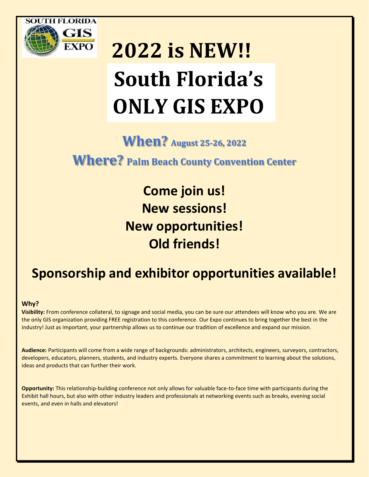

# **2022 is NEW!! South Florida's ONLY GIS EXPO**

**When? August 25-26, 2022**

**Where? Palm Beach County Convention Center**

**Come join us! New sessions! New opportunities! Old friends!**

## **Sponsorship and exhibitor opportunities available!**

#### **Why?**

**Visibility:** From conference collateral, to signage and social media, you can be sure our attendees will know who you are. We are the only GIS organization providing FREE registration to this conference. Our Expo continues to bring together the best in the industry! Just as important, your partnership allows us to continue our tradition of excellence and expand our mission.

**Audience:** Participants will come from a wide range of backgrounds: administrators, architects, engineers, surveyors, contractors, developers, educators, planners, students, and industry experts. Everyone shares a commitment to learning about the solutions, ideas and products that can further their work.

**Opportunity:** This relationship-building conference not only allows for valuable face-to-face time with participants during the Exhibit hall hours, but also with other industry leaders and professionals at networking events such as breaks, evening social events, and even in halls and elevators!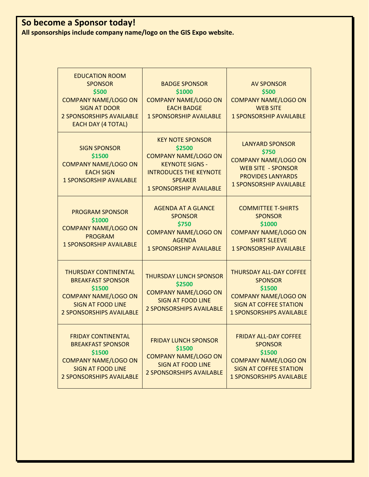## **So become a Sponsor today!**

**All sponsorships include company name/logo on the GIS Expo website.**

| <b>EDUCATION ROOM</b><br><b>SPONSOR</b><br>\$500<br><b>COMPANY NAME/LOGO ON</b><br><b>SIGN AT DOOR</b><br><b>2 SPONSORSHIPS AVAILABLE</b><br><b>EACH DAY (4 TOTAL)</b> | <b>BADGE SPONSOR</b><br>\$1000<br><b>COMPANY NAME/LOGO ON</b><br><b>EACH BADGE</b><br><b>1 SPONSORSHIP AVAILABLE</b>                                                            | <b>AV SPONSOR</b><br>\$500<br><b>COMPANY NAME/LOGO ON</b><br><b>WEB SITE</b><br><b>1 SPONSORSHIP AVAILABLE</b>                                                |
|------------------------------------------------------------------------------------------------------------------------------------------------------------------------|---------------------------------------------------------------------------------------------------------------------------------------------------------------------------------|---------------------------------------------------------------------------------------------------------------------------------------------------------------|
| <b>SIGN SPONSOR</b><br>\$1500<br><b>COMPANY NAME/LOGO ON</b><br><b>EACH SIGN</b><br><b>1 SPONSORSHIP AVAILABLE</b>                                                     | <b>KEY NOTE SPONSOR</b><br>\$2500<br><b>COMPANY NAME/LOGO ON</b><br><b>KEYNOTE SIGNS -</b><br><b>INTRODUCES THE KEYNOTE</b><br><b>SPEAKER</b><br><b>1 SPONSORSHIP AVAILABLE</b> | <b>LANYARD SPONSOR</b><br>\$750<br><b>COMPANY NAME/LOGO ON</b><br><b>WEB SITE - SPONSOR</b><br><b>PROVIDES LANYARDS</b><br><b>1 SPONSORSHIP AVAILABLE</b>     |
| <b>PROGRAM SPONSOR</b><br>\$1000<br><b>COMPANY NAME/LOGO ON</b><br><b>PROGRAM</b><br><b>1 SPONSORSHIP AVAILABLE</b>                                                    | <b>AGENDA AT A GLANCE</b><br><b>SPONSOR</b><br>\$750<br><b>COMPANY NAME/LOGO ON</b><br><b>AGENDA</b><br><b>1 SPONSORSHIP AVAILABLE</b>                                          | <b>COMMITTEE T-SHIRTS</b><br><b>SPONSOR</b><br>\$1000<br><b>COMPANY NAME/LOGO ON</b><br><b>SHIRT SLEEVE</b><br><b>1 SPONSORSHIP AVAILABLE</b>                 |
| <b>THURSDAY CONTINENTAL</b><br><b>BREAKFAST SPONSOR</b><br>\$1500<br><b>COMPANY NAME/LOGO ON</b><br><b>SIGN AT FOOD LINE</b><br><b>2 SPONSORSHIPS AVAILABLE</b>        | <b>THURSDAY LUNCH SPONSOR</b><br>\$2500<br><b>COMPANY NAME/LOGO ON</b><br><b>SIGN AT FOOD LINE</b><br><b>2 SPONSORSHIPS AVAILABLE</b>                                           | <b>THURSDAY ALL-DAY COFFEE</b><br><b>SPONSOR</b><br>\$1500<br><b>COMPANY NAME/LOGO ON</b><br><b>SIGN AT COFFEE STATION</b><br><b>1 SPONSORSHIPS AVAILABLE</b> |
| <b>FRIDAY CONTINENTAL</b><br><b>BREAKFAST SPONSOR</b><br>\$1500<br><b>COMPANY NAME/LOGO ON</b><br><b>SIGN AT FOOD LINE</b><br><b>2 SPONSORSHIPS AVAILABLE</b>          | <b>FRIDAY LUNCH SPONSOR</b><br>\$1500<br><b>COMPANY NAME/LOGO ON</b><br><b>SIGN AT FOOD LINE</b><br><b>2 SPONSORSHIPS AVAILABLE</b>                                             | <b>FRIDAY ALL-DAY COFFEE</b><br><b>SPONSOR</b><br>\$1500<br><b>COMPANY NAME/LOGO ON</b><br><b>SIGN AT COFFEE STATION</b><br><b>1 SPONSORSHIPS AVAILABLE</b>   |